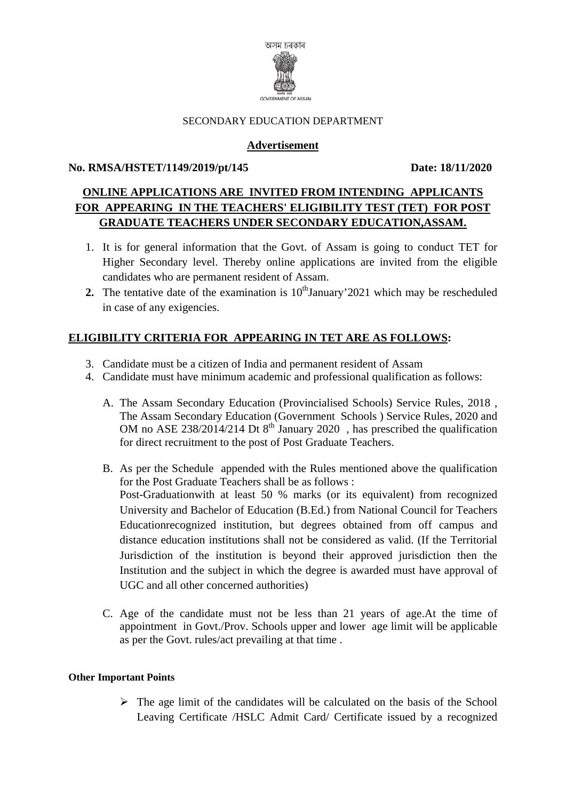

#### SECONDARY EDUCATION DEPARTMENT

# **Advertisement**

## **No. RMSA/HSTET/1149/2019/pt/145 Date: 18/11/2020**

# **ONLINE APPLICATIONS ARE INVITED FROM INTENDING APPLICANTS FOR APPEARING IN THE TEACHERS' ELIGIBILITY TEST (TET) FOR POST GRADUATE TEACHERS UNDER SECONDARY EDUCATION,ASSAM.**

- 1. It is for general information that the Govt. of Assam is going to conduct TET for Higher Secondary level. Thereby online applications are invited from the eligible candidates who are permanent resident of Assam.
- **2.** The tentative date of the examination is  $10<sup>th</sup>$  January' 2021 which may be rescheduled in case of any exigencies.

# **ELIGIBILITY CRITERIA FOR APPEARING IN TET ARE AS FOLLOWS:**

- 3. Candidate must be a citizen of India and permanent resident of Assam
- 4. Candidate must have minimum academic and professional qualification as follows:
	- A. The Assam Secondary Education (Provincialised Schools) Service Rules, 2018 , The Assam Secondary Education (Government Schools ) Service Rules, 2020 and OM no ASE 238/2014/214 Dt  $8^{th}$  January 2020, has prescribed the qualification for direct recruitment to the post of Post Graduate Teachers.
	- B. As per the Schedule appended with the Rules mentioned above the qualification for the Post Graduate Teachers shall be as follows : Post-Graduationwith at least 50 % marks (or its equivalent) from recognized University and Bachelor of Education (B.Ed.) from National Council for Teachers Educationrecognized institution, but degrees obtained from off campus and distance education institutions shall not be considered as valid. (If the Territorial Jurisdiction of the institution is beyond their approved jurisdiction then the Institution and the subject in which the degree is awarded must have approval of UGC and all other concerned authorities)
	- C. Age of the candidate must not be less than 21 years of age.At the time of appointment in Govt./Prov. Schools upper and lower age limit will be applicable as per the Govt. rules/act prevailing at that time .

#### **Other Important Points**

 $\triangleright$  The age limit of the candidates will be calculated on the basis of the School Leaving Certificate /HSLC Admit Card/ Certificate issued by a recognized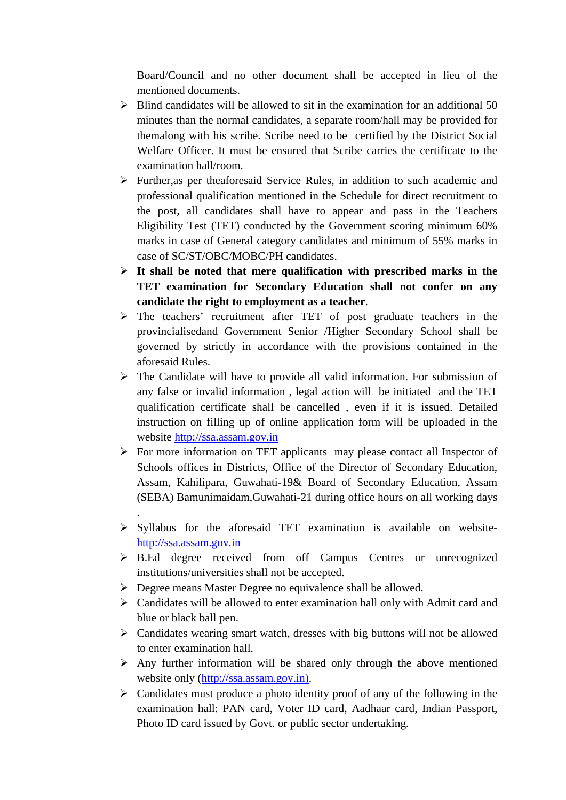Board/Council and no other document shall be accepted in lieu of the mentioned documents.

- $\triangleright$  Blind candidates will be allowed to sit in the examination for an additional 50 minutes than the normal candidates, a separate room/hall may be provided for themalong with his scribe. Scribe need to be certified by the District Social Welfare Officer. It must be ensured that Scribe carries the certificate to the examination hall/room.
- ¾ Further,as per theaforesaid Service Rules, in addition to such academic and professional qualification mentioned in the Schedule for direct recruitment to the post, all candidates shall have to appear and pass in the Teachers Eligibility Test (TET) conducted by the Government scoring minimum 60% marks in case of General category candidates and minimum of 55% marks in case of SC/ST/OBC/MOBC/PH candidates.
- ¾ **It shall be noted that mere qualification with prescribed marks in the TET examination for Secondary Education shall not confer on any candidate the right to employment as a teacher**.
- ¾ The teachers' recruitment after TET of post graduate teachers in the provincialisedand Government Senior /Higher Secondary School shall be governed by strictly in accordance with the provisions contained in the aforesaid Rules.
- $\triangleright$  The Candidate will have to provide all valid information. For submission of any false or invalid information , legal action will be initiated and the TET qualification certificate shall be cancelled , even if it is issued. Detailed instruction on filling up of online application form will be uploaded in the website http://ssa.assam.gov.in
- ¾ For more information on TET applicants may please contact all Inspector of Schools offices in Districts, Office of the Director of Secondary Education, Assam, Kahilipara, Guwahati-19& Board of Secondary Education, Assam (SEBA) Bamunimaidam,Guwahati-21 during office hours on all working days
- $\triangleright$  Syllabus for the aforesaid TET examination is available on websitehttp://ssa.assam.gov.in
- ¾ B.Ed degree received from off Campus Centres or unrecognized institutions/universities shall not be accepted.
- ¾ Degree means Master Degree no equivalence shall be allowed.

.

- $\triangleright$  Candidates will be allowed to enter examination hall only with Admit card and blue or black ball pen.
- $\triangleright$  Candidates wearing smart watch, dresses with big buttons will not be allowed to enter examination hall.
- $\triangleright$  Any further information will be shared only through the above mentioned website only (http://ssa.assam.gov.in).
- $\triangleright$  Candidates must produce a photo identity proof of any of the following in the examination hall: PAN card, Voter ID card, Aadhaar card, Indian Passport, Photo ID card issued by Govt. or public sector undertaking.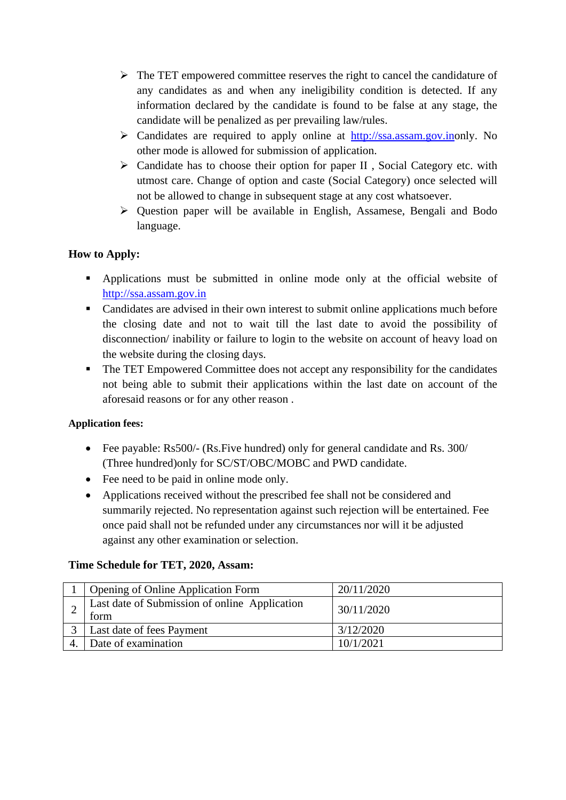- $\triangleright$  The TET empowered committee reserves the right to cancel the candidature of any candidates as and when any ineligibility condition is detected. If any information declared by the candidate is found to be false at any stage, the candidate will be penalized as per prevailing law/rules.
- ¾ Candidates are required to apply online at http://ssa.assam.gov.inonly. No other mode is allowed for submission of application.
- $\triangleright$  Candidate has to choose their option for paper II, Social Category etc. with utmost care. Change of option and caste (Social Category) once selected will not be allowed to change in subsequent stage at any cost whatsoever.
- $\triangleright$  Question paper will be available in English, Assamese, Bengali and Bodo language.

# **How to Apply:**

- Applications must be submitted in online mode only at the official website of http://ssa.assam.gov.in
- Candidates are advised in their own interest to submit online applications much before the closing date and not to wait till the last date to avoid the possibility of disconnection/ inability or failure to login to the website on account of heavy load on the website during the closing days.
- The TET Empowered Committee does not accept any responsibility for the candidates not being able to submit their applications within the last date on account of the aforesaid reasons or for any other reason .

# **Application fees:**

- Fee payable: Rs500/- (Rs. Five hundred) only for general candidate and Rs. 300/ (Three hundred)only for SC/ST/OBC/MOBC and PWD candidate.
- Fee need to be paid in online mode only.
- Applications received without the prescribed fee shall not be considered and summarily rejected. No representation against such rejection will be entertained. Fee once paid shall not be refunded under any circumstances nor will it be adjusted against any other examination or selection.

# **Time Schedule for TET, 2020, Assam:**

| <b>Opening of Online Application Form</b>             | 20/11/2020 |
|-------------------------------------------------------|------------|
| Last date of Submission of online Application<br>torm | 30/11/2020 |
| Last date of fees Payment                             | 3/12/2020  |
| Date of examination                                   | 10/1/2021  |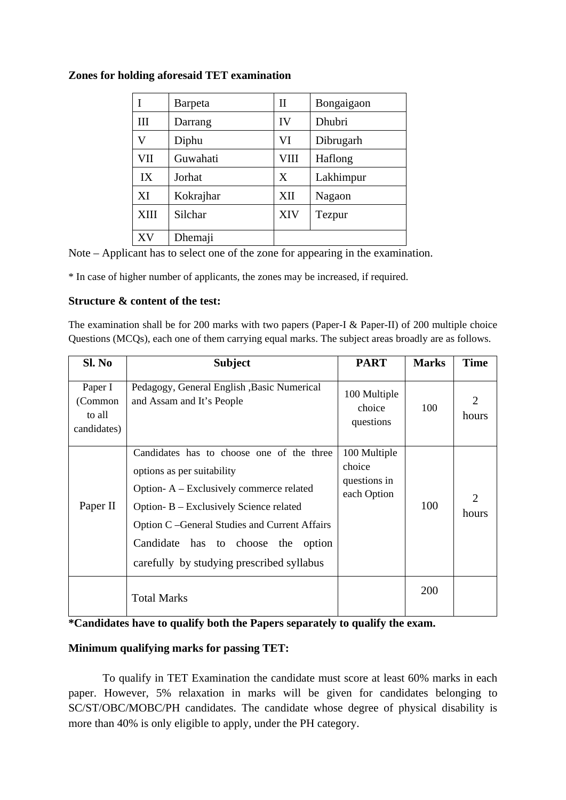|      | Barpeta                 | $\mathbf{I}$ | Bongaigaon |  |
|------|-------------------------|--------------|------------|--|
| III  | IV<br>Dhubri<br>Darrang |              |            |  |
| V    | Diphu                   | VI           | Dibrugarh  |  |
| VII  | Guwahati                | VIII         | Haflong    |  |
| IX   | Jorhat                  | X            | Lakhimpur  |  |
| XI   | Kokrajhar               | XII          | Nagaon     |  |
| XIII | Silchar                 | XIV          | Tezpur     |  |
| XV   | Dhemaji                 |              |            |  |

## **Zones for holding aforesaid TET examination**

Note – Applicant has to select one of the zone for appearing in the examination.

\* In case of higher number of applicants, the zones may be increased, if required.

#### **Structure & content of the test:**

The examination shall be for 200 marks with two papers (Paper-I & Paper-II) of 200 multiple choice Questions (MCQs), each one of them carrying equal marks. The subject areas broadly are as follows.

| Sl. No                                      | <b>Subject</b>                                                                                                                                                                                                                                                                                             | <b>PART</b>                                           | <b>Marks</b> | <b>Time</b> |
|---------------------------------------------|------------------------------------------------------------------------------------------------------------------------------------------------------------------------------------------------------------------------------------------------------------------------------------------------------------|-------------------------------------------------------|--------------|-------------|
| Paper I<br>(Common<br>to all<br>candidates) | Pedagogy, General English , Basic Numerical<br>and Assam and It's People                                                                                                                                                                                                                                   | 100 Multiple<br>choice<br>questions                   | 100          | hours       |
| Paper II                                    | Candidates has to choose one of the three<br>options as per suitability<br>Option-A – Exclusively commerce related<br>Option-B – Exclusively Science related<br>Option C – General Studies and Current Affairs<br>Candidate<br>has to choose<br>the<br>option<br>carefully by studying prescribed syllabus | 100 Multiple<br>choice<br>questions in<br>each Option | 100          | hours       |
|                                             | <b>Total Marks</b>                                                                                                                                                                                                                                                                                         |                                                       | 200          |             |

## **\*Candidates have to qualify both the Papers separately to qualify the exam.**

# **Minimum qualifying marks for passing TET:**

 To qualify in TET Examination the candidate must score at least 60% marks in each paper. However, 5% relaxation in marks will be given for candidates belonging to SC/ST/OBC/MOBC/PH candidates. The candidate whose degree of physical disability is more than 40% is only eligible to apply, under the PH category.